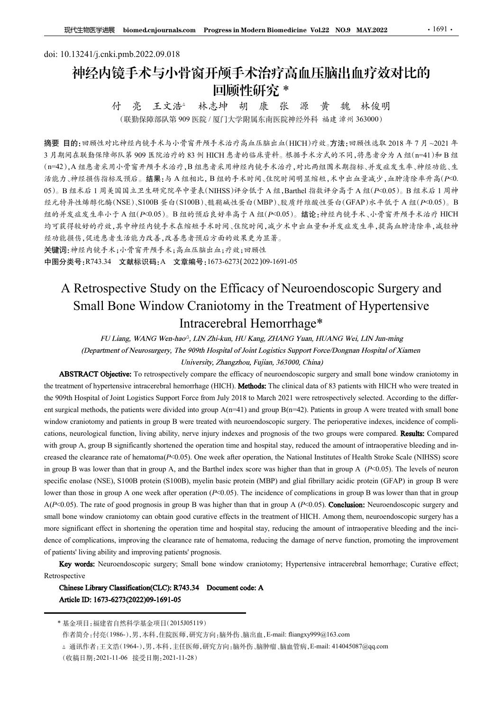# doi: 10.13241/j.cnki.pmb.2022.09.018 神经内镜手术与小骨窗开颅手术治疗高血压脑出血疗效对比的 回顾性研究 \* 林志坤 胡 康 张 源 黄 魏 林俊明 付 亮 王文浩△

付 亮 王文浩 林志坤 胡 康 张 源 黄 魏 林俊明<br>(联勤保障部队第909 医院/厦门大学附属东南医院神经外科 福建 漳州 363000)

摘要 目的:回顾性对比神经内镜手术与小骨窗开颅手术治疗高血压脑出血(HICH)疗效。方法:回顾性选取 2018 年 7 月 ~2021 年 3 月期间在联勤保障部队第 909 医院治疗的 83 例 HICH 患者的临床资料。根据手术方式的不同,将患者分为 A 组(n=41)和 B 组 (n=42),A 组患者采用小骨窗开颅手术治疗,B 组患者采用神经内镜手术治疗,对比两组围术期指标、并发症发生率、神经功能、生 活能力、神经损伤指标及预后。结果:与 A 组相比, B 组的手术时间、住院时间明显缩短,术中出血量减少,血肿清除率升高(P<0. 05)。B 组术后 1 周美国国立卫生研究院卒中量表(NIHSS)评分低于 A 组,Barthel 指数评分高于A 组(P<0.05)。B 组术后 1 周神 经元特异性烯醇化酶(NSE)、S100B 蛋白(S100B)、髓鞘碱性蛋白(MBP)、胶质纤维酸性蛋白(GFAP)水平低于 A 组(P<0.05)。B 组的并发症发生率小于 A 组(P<0.05)。B 组的预后良好率高于 A 组(P<0.05)。结论:神经内镜手术、小骨窗开颅手术治疗 HICH 均可获得较好的疗效,其中神经内镜手术在缩短手术时间、住院时间,减少术中出血量和并发症发生率,提高血肿清除率,减轻神 经功能损伤,促进患者生活能力改善,改善患者预后方面的效果更为显著。 **F#经AN Retrospective Study on the Efficacy of Neuroendoscopic Surgery and Small Bone Window Craniotomy in Be Treatment of Hypertensive Study on the Efficacy of Neuroendoscopic Surgery and Small Bone Window Cambian Apple** Small Bone Window Craniotomy in the Treatment of Hypertensive ;- 林志神 胡 康 张 源 黄 魏 林复明<br>99 医院 厦门大学開属东南医院神经外科 福建 漳州 363000<br>99 医院 厦门大学開属东南医院神经外科 福建 漳州 363000<br>常务开通手术治疗高血压出血(HICH)疗法,可测性法为学习与组(1-4)检 组<br>7. B 到 HICH 患者的临床营养,根据手术方式的不同,待意者分为 A 组(1-4) 1/和 B 组<br>8. B 到 HICH 患者的临床兼法,对比两组图本期指标,并发或发生 90 M Kind Window Craniotomy The Treatment of Hypertensive 4、<br>
3 市所方程、市场科ILH 28市向临东市中、保障千木方式的不同,许多者分为人组LIT-41 Pa 19<br>
5 赤緒果: 5 A 组地比,B 组合手术时间、住院时间明显缩短,术中出血量减少,血肿清除率升高(P-0,<br>
5 - 建研究院平中变线(NHSS)将今低于人组、国际国家独平分局予入组(P-0,05)。B 组大 the treatment of Newsraph AFA FART ATA RESTRACT ATA RESTRACT AND THE TRISTANG ATA THE 2000 A patients in the operator of RAMA RESTRACT ATA ALSO paints in the computer intracered that the specifical data of  $\frac{4\pi}{3}$  an

关键词:神经内镜手术;小骨窗开颅手术;高血压脑出血;疗效;回顾性 中图分类号:R743.34 文献标识码:A 文章编号:1673-6273(2022)09-1691-05

28.30.7 FP&40.6746.42.7 ABH-5 A A REHOR ARE 19.400 F F-40.8 HIM P-18.8 A F-11.2 ax E-8 A 7. am F-11.2 ax E-8 A 7. am F-12.1 ax E-8 A 7. am F-12.1 ax E-8 A 7. am F-12.1 ax E-8 A 7. am F-12.1 ax E-8 A 7. am F-12.1 ax E-8 A  $R_2 \times R_2 \times R_2 = R_2 \otimes R_2 \otimes R_1 \otimes R_2 \otimes R_1 \otimes R_2 \otimes R_1 \otimes R_2 \otimes R_2 \otimes R_1 \otimes R_2 \otimes R_1 \otimes R_2 \otimes R_1 \otimes R_1 \otimes R_2 \otimes R_1 \otimes R_2 \otimes R_1 \otimes R_1 \otimes R_1 \otimes R_1 \otimes R_1 \otimes R_1 \otimes R_1 \otimes R_1 \otimes R_1 \otimes R_1 \otimes R_1 \otimes R_1 \otimes R_1 \otimes R_1 \otimes R_1 \otimes R_1 \otimes$  $A$ 7 & FréE ( $\#P$  free FréE P ( $B$  FréE P = FréF | ( $B$  <br/> $\#R$  |  $B$  ,  $B$   $\#R$   $\#R$  =  $\#R$   $\#R$   $\#R$   $\#R$   $\#R$   $\#R$   $\#R$   $\#R$   $\#R$   $\#R$   $\#R$   $\#R$   $\#R$   $\#R$   $\#R$   $\#R$   $\#R$   $\#R$   $\#R$   $\#R$   $\#R$ **FIRENCE 7** A FOR F A FA SALE BILITARY 2017 WANT FA SALE (FIGREY) 1798 (We are the Barthel in group A (P-2). But the Barthel in group A, and the Barthel in group A (P-2). The *PC-2)* and Small Bone Window Cranicotomy in t **FIBRO 25** (ENTERT). A THE SPECIFIC ENDIREGATE (NSE), SECTED UP THE TREATMONT OF THE CONDUCTED STAND THE CONDUCTED CONDUCTED CONDUCTED (NSE), THE CONDUCTED CONDUCTED (DEVIDEND AND THE CONDUCTED CONDUCTED (Depending to  $\frac$ A Retrospective Study on the Efficacy of Neuroendoscopic Surgery and<br>
Small Bone Window Craniotomy in the Treatment of Hypertensive<br>
Intraccrebral Hemorrhage\*<br> *FU Liang, WANG Wen-hao". LINZbi-kan, IIU Kang. ZIIANG Yean,* A Retrospective Study on the Efficacy of Neuroendoscopic Surgery and<br>
Small Bonc Window Cranicotomy in the Treatment of Hypertensive<br>
Intraccredibral Hemorribage<sup>46</sup><br>
FULsing, WAVG Wan Anach, INV Kang, ZHANG Yang, HUANG W **Small Bone Window Craniotomy in the Treatment of Hypertensive<br>
Intracerebral Hemorrhage\***<br>
FU Linng, WANG Wen-last<sup>-2</sup>, INN Zhi-kan, IIU Kang, ZIIANG Year, IIUMNG Wei, LIN Jan-ming<br>
(Department of Neurosangery, The 900th **EXECTION COLLEMATE CONSTRAINT TO CONSTRAINT THE CONSTRAINT CONTINUES.** The Treatmonton of Trype Continue (Proposition (Fig. 2014) The Diversion of Neurometers (*PRO Membersion of Neurometers)* (*Department of Neurometers FU Liang, WANG Wen-hact<sup>2</sup>, LINZhi-kan, HU Kang, ZHANG Yean, HUANG Wei. LIN Han-ning<br>
(Department of Neurosurgery, The 909th Hospital of Loiat Logistics Support force-Dongsam Hospital of Xiamen<br>
ABSTACT Objective: To ret* ntment of Neurosurgery; The 909th Hospital of Joint Logistics Support Force/Dongnan Hospital of Xiamen<br>
University: Zonagzion, Fujian, 363000, Cuina)<br>
Objective: To retrospectively compare the efficievy of neuroendoscopic w cramiotomy and patients in group B were treated with neuroendoscopic surgery. The perioperative indexes, incidence of complistanty, a new high state of the complistents of the two groups were compared. Research and the s, neurological function, fiving ability, nerve injury indexes and prognosis of the two groups were compaced. **Results:** Compaced the observatory A, group B significantly shortoned the operation fine and hospital stay, cc

Retrospective

<sup>\*</sup> 基金项目:福建省自然科学基金项目(2015J05119)

<sup>(</sup>收稿日期:2021-11-06 接受日期:2021-11-28)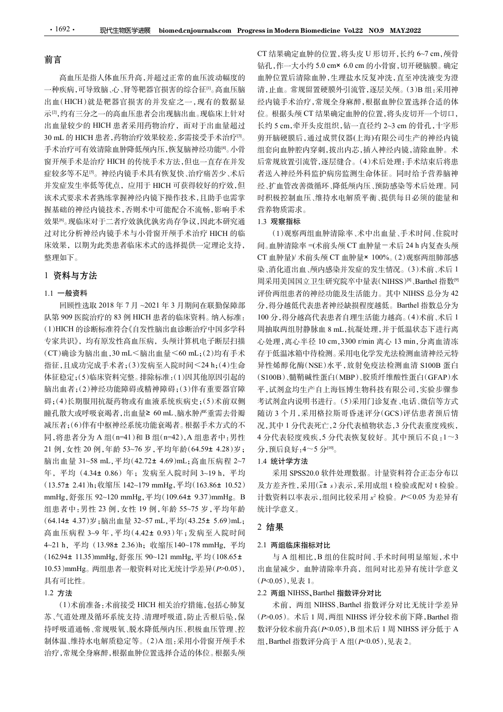# 前言

高血压是指人体血压升高,并超过正常的血压波动幅度的 一种疾病,可导致脑、心、肾等靶器官损害的综合征[1]。高血压脑 出血(HICH)就是靶器官损害的并发症之一,现有的数据显 示[2],约有三分之一的高血压患者会出现脑出血。现临床上针对 出血量较少的 HICH 患者采用药物治疗,而对于出血量超过 长约5 cm,牵开头皮组织,钻一直径约 2~3 cm 的骨孔,十字形  $\begin{tabular}{ll} \hline \textbf{30 mL} \textbf{1692}\cdot\textbf{20} & \textbf{S} \cdot \textbf{S} \cdot \textbf{S} \cdot \textbf{S} \cdot \textbf{S} \cdot \textbf{S} \cdot \textbf{S} \cdot \textbf{S} \cdot \textbf{S} \cdot \textbf{S} \cdot \textbf{S} \cdot \textbf{S} \cdot \textbf{S} \cdot \textbf{S} \cdot \textbf{S} \cdot \textbf{S} \cdot \textbf{S} \cdot \textbf{S} \cdot \textbf{S} \cdot \textbf{S} \cdot \textbf{S} \cdot \textbf{S} \cdot \textbf{$ 手术治疗可有效清除血肿降低颅内压,恢复脑神经功能[4]。小骨 窗开颅手术是治疗 HICH 的传统手术方法,但也一直存在并发 症较多等不足<sup>[5]</sup>。神经内镜手术具有恢复快、治疗痛苦少、术后 并发症发生率低等优点,应用于 HICH 可获得较好的疗效,但 该术式要求术者熟练掌握神经内镜下操作技术,且助手也需掌 握基础的神经内镜技术,否则术中可能配合不流畅,影响手术 效果<sup>[6]</sup>。现临床对于二者疗效孰优孰劣尚存争议,因此本研究通 过对比分析神经内镜手术与小骨窗开颅手术治疗 HICH 的临 床效果, 以期为此类患者临床术式的选择提供一定理论支持, 间。血肿清除率 =(术前头颅 CT 血肿量 - 术后 24 h 内复查头颅 整理如下。

# 1 资料与方法

# 1.1 一般资料

回顾性选取 2018 年 7 月 ~2021 年 3 月期间在联勤保障部 队第 909 医院治疗的 83 例 HICH 患者的临床资料。纳入标准: (1)HICH 的诊断标准符合《自发性脑出血诊断治疗中国多学科 专家共识》,均有原发性高血压病,头颅计算机电子断层扫描。 心处理,离心半径 10 cm,3300 r/min 离心 13 min,分离血清冻 体征稳定;(5)临床资料完整。排除标准:(1)因其他原因引起的 脑出血者;(2)神经功能障碍或精神障碍;(3)伴有重要器官障 碍;(4)长期服用抗凝药物或有血液系统疾病史;(5)术前双侧 减压者;(6)伴有中枢神经系统功能衰竭者。根据手术方式的不 同,将患者分为 A 组(n=41)和 B 组(n=42),A 组患者中:男性 21 例,女性 20 例,年龄 53~76 岁,平均年龄(64.59± 4.28)岁; 床效果,以期为此类患者临床术式的选择提供一定理论支持,同工业种清除率(术预头照片是在,2021年7月,<br>10. **资料与方法**<br>整理如下。<br>11. **子般資料**<br>11. 中最資料<br>11. 中最資料<br>11. 中最資料<br>11. 中最資料 32.89 mLCH 患者的临床资料和外科部: 分布得的基础系列的经生活增加工业,即<br>12. 机构度比重取 2018年7月 ~2021年3月期间在联勤保部部)分布得的基础系统转移能够缺陷性发生活能力<br>12. 9.34<br>東**川市方法:**<br>1.3<br>東**科与方法: 1.4**<br>1.4<br>1.4<br>東**科与方法: 1.42**<br>1.4 - 最後、2018年7月-2021年3月期间在課期保障所、開発用発電航系統の設計量を整備的定量情況。(1.4年10月まで、1.44<br>1.1 - 最後、2018年7月-2021年3月期间在課期保障所 分析機能(立正射射能及生活能力系統、H-NBS 急分力 42<br>1.5 - 最後、2018年7月-2021年3月期间在課期保障所 1 资料与方法<br>
13.57<br>
14.59 mmHg, 2018年7月~2021年3月期间在联勤保障金融、分析方程后国工业研究院所中最农村出ESSP中最大、2018年7月~2021年3月期间在联勤保险。 3.41分进能低水表数数是增值的。<br>
14.57%能力的 8.50 mm/< 电话者的临床资料。纳入标准: 100分,将分进低代表患者控缺损程度越后, Bardel 搭配、2018年7月~2021年3月期间在联勤保险、分析分进低尺表患者 mmHg,舒张压 92~120 mmHg,平均(109.64<sup>±</sup> 9.37)mmHg。<sup>B</sup> 组患者中:男性 23 例,女性 19 例,年龄 55~75 岁,平均年龄 [9]顾件选取2018年7月~2021年3月期同在联动保障部。分布分析器作表显示,每一51.57± 2.41 mL (13.37± 2.41 mL (43.14) 3.59 mD (15.25± 5.69)mL;<br>(6) 99 医院治疗的 83 MIKEH 患者的临床資料。4.57准。100分, 将分摊指代表患者自理生活能力。<br>(CT)确诊服务进行和监管系的临床管制人标准, 4.00分, 将分摊指代表患者自理生活能力, 为时间, 5.3 高血压病程 3~9 年,平均(4.42± 0.93)年;发病至入院时间 (1)HICH 的诊断标准公司发生器由血管所的扩生量系系,同轴取列出所部系面,2.350cmmm属。2.37 h,在21 h, 5.37 h, 201 mm min d, 13.930cmm in d, 13.930cmm in d, 13.930cmm in d, 13.932<br>(字表明),均有原实性高血压病,头颅计算机进气能只扫描, - 心理, 离心平径, 8.34 h, 2500 cmm, 3500cmm, 高。13 mm in 专家共职》,均有原发性高血压病,头颅计算机中了断层扫描 心处理,高心手径 0.6m,330 r/min 高心工程, 高度, 12.94<br>指定、10.35)mmHg, 两端出血、300~121 mmHg,平均(108.84± 11.35)mmHg, 异性化体测定 12.94± 11.35mmHg, 两端出血管 9.06mmL<br/>% 2000-12.11.35pm 平均(108.54± 11.35mmHg, 2000-121 mmHg 10.53)mmHg。两组患者一般资料对比无统计学差异(P>0.05), 具有可比性。

#### 1.2 方法

(1)术前准备:术前接受 HICH 相关治疗措施,包括心肺复 苏、气道处理及循环系统支持、清理呼吸道,防止舌根后坠,保 持呼吸道通畅、常规吸氧、脱水降低颅内压、积极血压管理、控 制体温、维持水电解质稳定等。(2)A 组:采用小骨窗开颅手术 治疗,常规全身麻醉,根据血肿位置选择合适的体位。根据头颅

。 剪开脑硬膜后,通过成贯仪器(上海)有限公司生产的神经内镜 sss in Modern Biomedicine Vol.22 NO.9 MAY.2022<br>CT 结果确定血肿的位置,将头皮 U 形切开,长约 6~7 cm,颅骨<br>钻孔,作一大小约 5.0 cm× 6.0 cm 的小骨窗,切开硬脑膜。确定<br>血肿位置后清除血肿,生理盐水反复冲洗,直至冲洗液变为澄<br>清,止血。常规留置硬膜外引流管,逐层关颅。(3)B 组:采用神<br>经内镜手术治疗,常规全身麻醉,根据血肿位置选择合适的体 ess in Modern Biomedicine Vol.22 NO.9 MAY.2022<br>CT 结果确定血肿的位置,将头皮 U 形切开,长约 6~7 cm,颅骨<br>钻孔,作一大小约 5.0 cm× 6.0 cm 的小骨窗,切开硬脑膜。确定<br>血肿位置后清除血肿,生理盐水反复冲洗,直至冲洗液变为澄<br>清,止血。常规留置硬膜外引流管,逐层关颅。(3)B 组:采用神<br>经内镜手术治疗,常规全身麻醉,根据血肿位置选择合适的体<br>位。根据头颅 CT 结果 血肿位置后清除血肿,生理盐水反复冲洗,直至冲洗液变为澄 清,止血。常规留置硬膜外引流管,逐层关颅。(3)B 组:采用神 经内镜手术治疗,常规全身麻醉,根据血肿位置选择合适的体 位。根据头颅 CT 结果确定血肿的位置,将头皮切开一个切口, ss in Modern Biomedicine Vol.22 NO.9 MAY.2022<br>CT 结果确定血肿的位置,将头皮U形切开,长约 6~7 cm,颅骨<br>钻孔,作一大小约 5.0 cm× 6.0 cm 的小骨窗,切开硬脑膜。确定<br>血肿位置后清除血肿,生理盐水反复冲洗,直至冲洗液变为澄<br>清,止血。常规留置硬膜外引流管,逐层关颅。(3)B 组:采用神<br>洁,止血。常规留置硬膜外引流管,逐层关颅。(3)B 组:采用神<br>公、传手术治疗,常规全 组套向血肿腔内穿刺,拔出内芯,插入神经内镜,清除血肿。术 后常规放置引流管,逐层缝合。(4)术后处理:手术结束后将患 者送入神经外科监护病房监测生命体征。同时给予营养脑神 经、扩血管改善微循环、降低颅内压、预防感染等术后处理。同 时积极控制血压、维持水电解质平衡、提供每日必须的能量和 营养物质需求。 ss in Modern Biomedicine Vol.22 NO9 MAY.2022<br>CT 结果确定血肿的位置,将头皮U形切开,长约 6~7 cm, 颅骨<br>钻孔,作一大小约 5.0 cm× 6.0 cm 的小骨窗,切开硬脑膜。确定<br><br>血肿位置后清除血肿,生理盐水反复冲洗,直至冲洗液变为澄<br>血肿位置后清除血肿,生理盐水反复冲洗,直至冲洗液变为强<br>血清,止血。常规留置硬膜外引流管,逐层关颅。(3)B 组:采用神<br>经内镜手术治疗,常规全身麻

# 1.3 观察指标

30 mLG 电容计输出,转移方式 30 mLG 电容器 20 mLG 电子系统 20 mL (1) 计算机电子 3 mL (2) 计算机电子 3 mL (2) 指令 mL (4) mL (4) mL (4) mL (4) mL (4) mL (4) mL (4) mL (4) mL (4) mL (4) mL (4) mL (4) mL (4) mL (4) mL (4) mL (4) mL (4) mL (4) mL (4) mL 指征,且成功完成手术者;(3)发病至入院时间<sup>&</sup>lt;24 h;(4)生命 瞳孔散大或呼吸衰竭者,出血量<sup>≥</sup> 60 mL、脑水肿严重需去骨瓣 (1)观察两组血肿清除率、术中出血量、手术时间、住院时 CT 血肿量)/ 术前头颅 CT 血肿量× 100%。(2)观察两组肺部感 染、消化道出血、颅内感染并发症的发生情况。(3)术前、术后 1 周采用美国国立卫生研究院卒中量表(NIHSS)®<sub>、</sub>Barthel 指数® 评价两组患者的神经功能及生活能力。其中 NIHSS 总分为 42 分,得分越低代表患者神经缺损程度越低。Barthel 指数总分为 100 分,得分越高代表患者自理生活能力越高。(4)术前、术后 1 位。根据头颅CF结果确定血肿的位置,将头皮切开一个切 5 mm,率开头皮组织,钻开前进,按时间面,同时需要,所需要进行离开,通常,应当有限公司生产有限,应用的时间,同时的开始发展了。后,通过成员以来后,通过有限公司生产的价值,后,将承担的时间,后,将承担的将来,指令人冲突,而后,而加快按时间,在行机构,标准并将的机构,标准并行将来,相机构,后,并且在一个机构,因为来国企业、企业、企业、企业、企业、企业、企业、企业、企业、企业、企业、企业 长约5cm,牵开头皮组织,钻一直径约2~3cm,的背孔,十字形,脑膜膜后,通过成果以来,指从分离,指标性,指标性,指标性,指标性,指标性,指标性,指标性,指标性,并且有效力,增强,指令,增引,就出来,指令内部,就出来,指令对象,清除血压、维持水电解质平衡,提供每日必须的能量和经人神经功能是有效人神经外科监护病房平衡,提供每日必须的能量和时间,常从外经利用压,维持水电解质平衡,提供每日必须的能量和时间,血管变善微循环,降低颅内压,预防感染 存于低温冰箱中待检测。采用电化学发光法检测血清神经元特 异性烯醇化酶(NSE)水平,放射免疫法检测血清 S100B 蛋白 (S100B)、髓鞘碱性蛋白(MBP)、胶质纤维酸性蛋白(GFAP)水 平,试剂盒均生产自上海钰博生物科技有限公司,实验步骤参 考试剂盒内说明书进行。(5)采用门诊复查、电话、微信等方式 随访 3 个月,采用格拉斯哥昏迷评分(GCS)评估患者预后情 况,其中 1 分代表死亡,2 分代表植物状态,3 分代表重度残疾, 4 分代表轻度残疾,5 分代表恢复较好。其中预后不良:1~3 分,预后良好:4~5 分[10] 。

### 1.4 统计学方法

采用 SPSS20.0 软件处理数据。计量资料符合正态分布以 及方差齐性,采用 $(\bar{x}$ ± s)表示,采用成组 t 检验或配对 t 检验。 计数资料以率表示,组间比较采用 x<sup>2</sup> 检验。P<0.05 为差异有 统计学意义。

# 2 结果

#### 2.1 两组临床指标对比

与 A 组相比,B 组的住院时间、手术时间明显缩短,术中 出血量减少,血肿清除率升高,组间对比差异有统计学意义 (P<0.05),见表 1。

#### 2.2 两组 NIHSS、Barthel 指数评分对比

术前, 两组 NIHSS、Barthel 指数评分对比无统计学差异 (P>0.05)。术后 1 周,两组 NIHSS 评分较术前下降,Barthel 指 数评分较术前升高(P<0.05),B 组术后 1 周 NIHSS 评分低于 A 组,Barthel 指数评分高于 A 组(P<0.05),见表 2。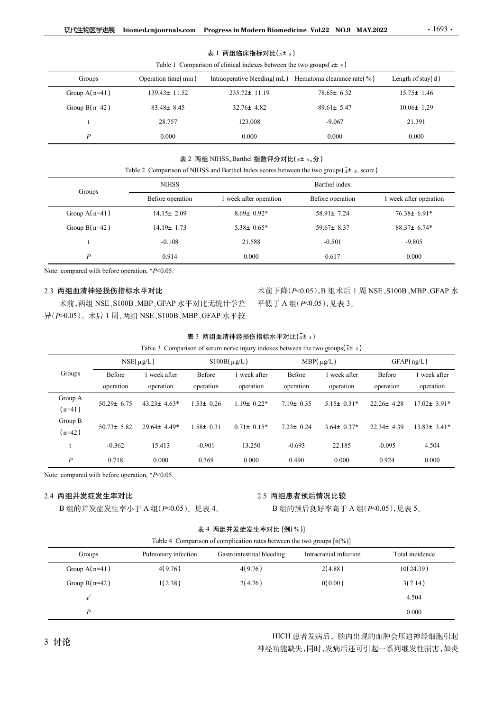#### 表 1 两组临床指标对比 $(\bar{x}$ ± s)

| 现代生物医学进展         |                     |                                                                                 | biomed.cnjournals.com Progress in Modern Biomedicine Vol.22 NO.9 MAY.2022                           | .1693.                 |
|------------------|---------------------|---------------------------------------------------------------------------------|-----------------------------------------------------------------------------------------------------|------------------------|
|                  |                     | 表 1 两组临床指标对比 $(\bar{x}$ ± s)                                                    |                                                                                                     |                        |
|                  |                     |                                                                                 |                                                                                                     |                        |
|                  |                     |                                                                                 |                                                                                                     |                        |
| Groups           | Operation time(min) | Table 1 Comparison of clinical indexes between the two groups $(\bar{x} \pm s)$ | Intraoperative bleeding(mL) Hematoma clearance rate(%)                                              | Length of stay(d)      |
| Group $A(n=41)$  | 139.43± 11.52       | 235.72± 11.19                                                                   | 78.65± 6.32                                                                                         | $15.75 \pm 1.46$       |
| Group $B(n=42)$  | 83.48± 8.45         | $32.76 \pm 4.82$                                                                | $89.61 \pm 5.47$                                                                                    | $10.06 \pm 1.29$       |
| t                | 28.757              | 123.008                                                                         | $-9.067$                                                                                            | 21.391                 |
| $\boldsymbol{P}$ | 0.000               | 0.000                                                                           | 0.000                                                                                               | 0.000                  |
|                  |                     |                                                                                 |                                                                                                     |                        |
|                  |                     | 表 2 两组 NIHSS、Barthel 指数评分对比( $x \pm s$ ,分)                                      | Table 2 Comparison of NIHSS and Barthel Index scores between the two groups ( $\bar{x}$ ± s, score) |                        |
|                  | <b>NIHSS</b>        |                                                                                 | Barthel index                                                                                       |                        |
| Groups           | Before operation    | 1 week after operation                                                          | Before operation                                                                                    | 1 week after operation |
| Group $A(n=41)$  | $14.15 \pm 2.09$    | $8.69 \pm 0.92*$                                                                | 58.91± 7.24                                                                                         | 76.38± 6.91*           |
| Group $B(n=42)$  | $14.19 \pm 1.73$    | $5.38 \pm 0.65*$                                                                | 59.67± 8.37                                                                                         | 88.37± 6.74*           |

# 表 2 两组 NIHSS、Barthel 指数评分对比( $x$ ± s, 分)

| 现代生物医学进展                  |                                                                        | biomed.cnjournals.com Progress in Modern Biomedicine Vol.22 NO.9 MAY.2022                          |                     |                                                                                                                 |                  |                                                                            |                     | $\cdot 1693$ .         |  |
|---------------------------|------------------------------------------------------------------------|----------------------------------------------------------------------------------------------------|---------------------|-----------------------------------------------------------------------------------------------------------------|------------------|----------------------------------------------------------------------------|---------------------|------------------------|--|
|                           |                                                                        |                                                                                                    |                     | 表 1 两组临床指标对比 $(\bar{x}$ ± s)<br>Table 1 Comparison of clinical indexes between the two groups $(\bar{x} \pm s)$ |                  |                                                                            |                     |                        |  |
| Groups                    |                                                                        | Operation time(min)                                                                                |                     |                                                                                                                 |                  | Intraoperative bleeding( $mL$ ) Hematoma clearance rate( $\%$ )            |                     | Length of stay(d)      |  |
| Group $A(n=41)$           |                                                                        | 139.43± 11.52                                                                                      | 235.72± 11.19       |                                                                                                                 |                  | 78.65± 6.32                                                                |                     | $15.75 \pm 1.46$       |  |
| Group $B(n=42)$           |                                                                        | 83.48± 8.45<br>$32.76 \pm 4.82$                                                                    |                     |                                                                                                                 | $89.61 \pm 5.47$ |                                                                            | $10.06 \pm 1.29$    |                        |  |
| t                         |                                                                        | 28.757<br>123.008                                                                                  |                     |                                                                                                                 | $-9.067$         |                                                                            | 21.391              |                        |  |
| $\boldsymbol{P}$          |                                                                        | 0.000                                                                                              |                     | 0.000                                                                                                           |                  | 0.000                                                                      |                     | 0.000                  |  |
|                           |                                                                        | Table 2 Comparison of NIHSS and Barthel Index scores between the two groups( $\bar{x}$ ± s, score) |                     | 表 2 两组 NIHSS、Barthel 指数评分对比(x+ s, 分)                                                                            |                  |                                                                            |                     |                        |  |
|                           |                                                                        | <b>NIHSS</b>                                                                                       |                     |                                                                                                                 |                  | Barthel index                                                              |                     |                        |  |
| Groups                    |                                                                        | Before operation                                                                                   |                     | 1 week after operation                                                                                          |                  | Before operation                                                           |                     | 1 week after operation |  |
|                           | Group $A(n=41)$<br>$14.15 \pm 2.09$                                    |                                                                                                    |                     | $8.69 \pm 0.92*$                                                                                                |                  | $58.91 \pm 7.24$                                                           |                     | 76.38± 6.91*           |  |
|                           | Group $B(n=42)$<br>14.19± 1.73                                         |                                                                                                    |                     | $5.38 \pm 0.65*$                                                                                                |                  | 59.67 $\pm$ 8.37                                                           |                     | $88.37 \pm 6.74*$      |  |
| t                         | $-0.108$                                                               |                                                                                                    |                     | 21.588                                                                                                          |                  | $-0.501$                                                                   |                     | $-9.805$               |  |
| $\boldsymbol{P}$<br>0.914 |                                                                        |                                                                                                    | 0.000               |                                                                                                                 | 0.617            |                                                                            | 0.000               |                        |  |
|                           |                                                                        | Note: compared with before operation, *P<0.05.                                                     |                     |                                                                                                                 |                  |                                                                            |                     |                        |  |
| 2.3 两组血清神经损伤指标水平对比        |                                                                        | 术前,两组 NSE、S100B、MBP、GFAP 水平对比无统计学差<br>异(P>0.05)。术后 1 周, 两组 NSE、S100B、MBP、GFAP 水平较                  |                     |                                                                                                                 |                  | 术前下降(P<0.05), B 组术后 1 周 NSE、S100B、MBP、GFAP 水<br>平低于 A 组( $P$ <0.05), 见表 3。 |                     |                        |  |
|                           |                                                                        |                                                                                                    |                     | 表 3 两组血清神经损伤指标水平对比(x+ s)                                                                                        |                  |                                                                            |                     |                        |  |
|                           |                                                                        |                                                                                                    |                     | Table 3 Comparison of serum nerve injury indexes between the two groups $(\bar{x} \pm s)$                       |                  | $MBP(\mu g/L)$                                                             |                     | GFAP(ng/L)             |  |
| Groups                    | $NSE(\mu g/L)$<br>$S100B(\mu g/L)$<br>Before<br>1 week after<br>Before |                                                                                                    | $1$ week after $\,$ | Before                                                                                                          | 1 week after     | Before                                                                     | $1$ week after $\,$ |                        |  |
|                           | operation                                                              | operation                                                                                          | operation           | operation                                                                                                       | operation        | operation                                                                  | operation           | operation              |  |
| Group A<br>$(n=41)$       | $50.29 \pm 6.75$                                                       | $43.23 \pm 4.63*$                                                                                  | $1.53 \pm 0.26$     | $1.19 \pm 0.22*$                                                                                                | $7.19 \pm 0.35$  | $5.15 \pm 0.31*$                                                           | $22.26 \pm 4.28$    | $17.02 \pm 3.91*$      |  |
| Group B                   |                                                                        | 50.73± 5.82 29.64± 4.49*                                                                           | $1.58 \pm 0.31$     | $0.71 \pm 0.15*$                                                                                                | $7.23 \pm 0.24$  | $3.64 \pm 0.37*$                                                           | $22.34 \pm 4.39$    | $13.83 \pm 3.41*$      |  |

# 2.3 两组血清神经损伤指标水平对比

### 表 3 两组血清神经损伤指标水平对比 $(\bar{x}$ ± s)

| Groups              |                                                   | <b>NIHSS</b>                                                                      |                     |                                                                                                                       |                     | Barthel index                                                         |                        |                           |  |
|---------------------|---------------------------------------------------|-----------------------------------------------------------------------------------|---------------------|-----------------------------------------------------------------------------------------------------------------------|---------------------|-----------------------------------------------------------------------|------------------------|---------------------------|--|
|                     |                                                   | Before operation                                                                  |                     | 1 week after operation                                                                                                |                     | Before operation                                                      | 1 week after operation |                           |  |
|                     | Group $A(n=41)$<br>$14.15 \pm 2.09$               |                                                                                   |                     | $8.69 \pm 0.92*$                                                                                                      |                     | 58.91± 7.24                                                           |                        | $76.38 \pm 6.91*$         |  |
| Group $B(n=42)$     |                                                   | $14.19 \pm 1.73$                                                                  | $5.38 \pm 0.65*$    |                                                                                                                       |                     | 59.67 $\pm$ 8.37                                                      |                        | 88.37± 6.74*              |  |
|                     | $-0.108$<br>21.588<br>$-0.501$<br>$-9.805$        |                                                                                   |                     |                                                                                                                       |                     |                                                                       |                        |                           |  |
|                     | $\boldsymbol{P}$                                  |                                                                                   |                     | 0.000                                                                                                                 |                     | 0.617                                                                 | 0.000                  |                           |  |
|                     | Note: compared with before operation, $*P<0.05$ . |                                                                                   |                     |                                                                                                                       |                     |                                                                       |                        |                           |  |
|                     | 2.3 两组血清神经损伤指标水平对比                                | 术前,两组 NSE、S100B、MBP、GFAP 水平对比无统计学差<br>异(P>0.05)。术后 1 周, 两组 NSE、S100B、MBP、GFAP 水平较 |                     |                                                                                                                       |                     | 术前下降(P<0.05), B 组术后 1 周 NSE、S100B、MBP、GFAP 水<br>平低于 A 组(P<0.05),见表 3。 |                        |                           |  |
|                     |                                                   |                                                                                   |                     |                                                                                                                       |                     |                                                                       |                        |                           |  |
|                     |                                                   |                                                                                   |                     | 表 3 两组血清神经损伤指标水平对比(x+ s)<br>Table 3 Comparison of serum nerve injury indexes between the two groups $(\bar{x} \pm s)$ |                     |                                                                       |                        |                           |  |
|                     |                                                   | $NSE(\mu g/L)$                                                                    |                     | $S100B(\mu g/L)$                                                                                                      |                     | MBP $(\mu g/L)$                                                       | GFAP(ng/L)             |                           |  |
| Groups              | Before<br>operation                               | 1 week after<br>operation                                                         | Before<br>operation | 1 week after<br>operation                                                                                             | Before<br>operation | 1 week after<br>operation                                             | Before<br>operation    | 1 week after<br>operation |  |
| Group A<br>$(n=41)$ | $50.29 \pm 6.75$                                  | $43.23 \pm 4.63*$                                                                 | $1.53 \pm 0.26$     | $1.19 \pm 0.22*$                                                                                                      | $7.19 \pm 0.35$     | $5.15 \pm 0.31*$                                                      | 22.26± 4.28            | $17.02 \pm 3.91*$         |  |
| Group B<br>$(n=42)$ | $50.73 \pm 5.82$                                  | 29.64± 4.49*                                                                      | $1.58 \pm 0.31$     | $0.71 \pm 0.15*$                                                                                                      | $7.23 \pm 0.24$     | $3.64 \pm 0.37*$                                                      | 22.34± 4.39            | $13.83 \pm 3.41*$         |  |
|                     | $-0.362$                                          | 15.413                                                                            | $-0.901$            | 13.250                                                                                                                | $-0.693$            | 22.185                                                                | $-0.095$               | 4.504                     |  |
| $\boldsymbol{P}$    | 0.718                                             | 0.000                                                                             | 0.369               | 0.000                                                                                                                 | 0.490               | 0.000                                                                 | 0.924                  | 0.000                     |  |
|                     | Note: compared with before operation, $*P<0.05$ . |                                                                                   |                     |                                                                                                                       |                     |                                                                       |                        |                           |  |
|                     | 2.4 两组并发症发生率对比                                    |                                                                                   |                     |                                                                                                                       | 2.5 两组患者预后情况比较      |                                                                       |                        |                           |  |
|                     |                                                   | B组的并发症发生率小于 A组(P<0.05)。见表 4。                                                      |                     |                                                                                                                       |                     | B组的预后良好率高于 A组 $(P<0.05)$ ,见表 5。                                       |                        |                           |  |
|                     |                                                   |                                                                                   |                     | 表 4 两组并发症发生率对比 [例(%)]                                                                                                 |                     |                                                                       |                        |                           |  |
|                     |                                                   |                                                                                   |                     | Table 4 Comparison of complication rates between the two groups $[n\binom{0}{0}]$                                     |                     |                                                                       |                        |                           |  |
| Groups              |                                                   | Pulmonary infection                                                               |                     | Gastrointestinal bleeding                                                                                             |                     | Intracranial infection                                                | Total incidence        |                           |  |
| Group $A(n=41)$     |                                                   | 4(9.76)<br>4(9.76)                                                                |                     |                                                                                                                       | 2(4.88)             |                                                                       | 10(24.39)              |                           |  |
| Group $B(n=42)$     |                                                   | 1(2.38)                                                                           |                     | 2(4.76)                                                                                                               |                     | 0(0.00)                                                               |                        | 3(7.14)                   |  |
|                     | $\boldsymbol{x}^2$                                |                                                                                   |                     |                                                                                                                       |                     |                                                                       |                        | 4.504                     |  |
|                     | 0.000<br>$\boldsymbol{P}$                         |                                                                                   |                     |                                                                                                                       |                     |                                                                       |                        |                           |  |

## 2.4 两组并发症发生率对比

| Table + Comparison of comprisation rates between the two groups $\mu_1/\nu_1$ |                     |                           |                        |                 |  |  |  |
|-------------------------------------------------------------------------------|---------------------|---------------------------|------------------------|-----------------|--|--|--|
| Groups                                                                        | Pulmonary infection | Gastrointestinal bleeding | Intracranial infection | Total incidence |  |  |  |
| Group $A(n=41)$                                                               | 4(9.76)             | 4(9.76)                   | 2(4.88)                | 10(24.39)       |  |  |  |
| Group $B(n=42)$                                                               | 1(2.38)             | 2(4.76)                   | 0(0.00)                | 3(7.14)         |  |  |  |
| $\sim$                                                                        |                     |                           |                        | 4.504           |  |  |  |
| D                                                                             |                     |                           |                        | 0.000           |  |  |  |

3 讨论 **HICH** 患者发病后,脑内出现的血肿会压迫神经细胞引起 神经功能缺失,同时,发病后还可引起一系列继发性损害,如炎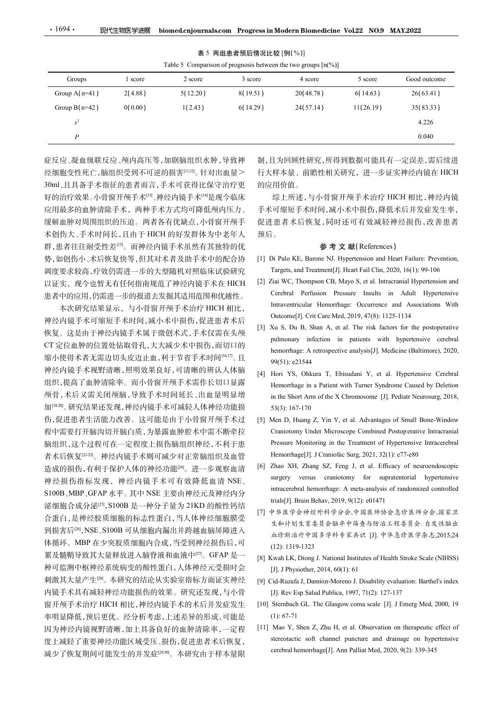| 表 5 两组患者预后情况比较 [例( % )] |
|-------------------------|
|-------------------------|

本次研究结果显示,与小骨窗开颅手术治疗 HICH 相比, http://www.mtricular\_Hemorrhage: Occurrence\_and\_A:<br>- http://www.mtarachiliar.com/web/2019.4768/html 神经内镜手术可缩短手术时间,减小术中损伤,促进患者术后<br>https://www.article.com/article.com/article/state-state-state-state-state-state-state-state-state-state-state-缩小使得术者无需边切头皮边止血,利于节省手术时间[16,17]。且 99(51): e23544 神经内镜手术视野清晰,照明效果良好,可清晰的辨认人体脑<br>[4] Hori YS, Ohkura T, Ebisudani Y, et al. Hypertensive Cerebral 加[18-20]。研究结果还发现,神经内镜手术可减轻人体神经功能损 53(3):167-170 伤,促进患者生活能力改善。这可能是由于小骨窗开颅手术过 [5] Men D, Huang Z, Yin Y, et al. Advantages of Small Bone-Window 者术后恢复<sup>[21-23]</sup>。神经内镜手术则可减少对正常脑组织及血管 Hemorrhage[J]. J Craniofac Surg, 2021, 32(1): e77-e80 造成的损伤,有利于保护人体的神经功能<sup>[24]</sup>。进一步观察血清 [6] Zhao XH, Zhang SZ, Feng J, et al. Efficacy of neuroendoscopic<br>加经损伤损损伤现、进经力统乏术可有效降低改造NSE surgery versus craniotomy for supratentorial hypertensive S100B、MBP、GFAP 水平。其中 NSE 主要由神经元及神经内分<br>
https://www.com/2010.com/2010.com/2010.html 泌细胞合成分泌[25] ,S100B 是一种分子量为 21KD 的酸性钙结 合蛋白,是神经胶质细胞的标志性蛋白,当人体神经细胞膜受 到损害后[26] ,NSE、S100B 可从细胞内漏出并跨越血脑屏障进入 体循环。MBP 在少突胶质细胞内合成,当受到神经损伤后,可 (12): 1319-1323 累及髓鞘导致其大量释放进入脑脊液和血液中<sup>[27]</sup>。GFAP 是一 种可监测中枢神经系统病变的酸性蛋白,人体神经元受损时会 刺激其大量产生<sup>[28]</sup>。本研究的结论从实验室指标方面证实神经 [9] Cid-Ruzafa J, Damián-Moreno J. Disability evaluation: Barthel's index 内镜手术具有减轻神经功能损伤的效果。研究还发现,与小骨 窗开颅手术治疗 HICH 相比,神经内镜手术的术后并发症发生 [10] Sternbach GL. The Glasgow coma scale [J]. J Emerg Med, 2000, 19 率明显降低,预后更优。经分析考虑,上述差异的形成,可能是(1):67-71 因为神经内镜视野清晰,加上具备良好的血肿清除率,一定程 [11] Mao Y, Shen Z, Zhu H, et al. Observation on therapeutic effect of 减少了恢复期间可能发生的并发症[29,30]。本研究由于样本量限

综上所述,与小骨窗开颅手术治疗 HICH 相比,神经内镜 手术可缩短手术时间,减小术中损伤,降低术后并发症发生率, 促进患者术后恢复,同时还可有效减轻神经损伤,改善患者 预后。 5) 24(5).14) 11(26.19) 35(85.35) 4.226<br>
4.226<br>
6.0040<br>
制,且为回顾性研究,所得到数据可能具有一定误差,需后续进<br>
行大样本量、前瞻性相关研究,进一步证实神经内镜在 HICH<br>
的应用价值。<br>
综上所述,与小骨窗开颅手术治疗 HICH 相比,神经内镜<br>
手术可缩短手术时间,减小术中损伤,降低术后并发症发生率,<br>
促进患者术后恢复,同时还可有效减轻神经损伤,改善患者<br>
傾后。 **参考文献** 4226<br>
14226<br>
14226<br>
1640<br>
1640<br>
1640<br>
1640<br>
1640<br>
1640<br>
1640<br>
1640<br>
1640<br>
1640<br>
1640<br>
1640<br>
1640<br>
1640<br>
1640<br>
1640<br>
1640<br>
1640<br>
1640<br>
1640<br>
1640<br>
1640<br>
1640<br>
1640<br>
1640<br>
1640<br>
1640<br>
1640<br>
1640<br>
1640<br>
1640<br>
1640<br>
1640<br>
164 10.040<br>
19.0回顾性研究,所得到数据可能具有一定误差,需后续进<br>
特本量、前瞻性相关研究,进一步证实神经内镜在 HICH<br>
用价值。<br>
5月价值。与小骨窗开颅手术治疗 HICH 相比,神经内镜<br>
5年上所位、与小骨窗开颅手术治疗 HICH 相比,神经内镜<br>
19.5万述,与小骨窗开颅手术治疗 HICH 相比,神经内镜<br>
17.57 缩短手术时间,减小术中损伤,降低术后并发症发生率,<br>
17.57 mgts, and Teate 且为回顾性研究,所得到数据可能具有一定误差,需后续进程本量、前瞻性相关研究,进一步证实神经内镜在 HICH<br>#<br># 样本量、前瞻性相关研究,进一步证实神经内镜在 HICH<br># 样心直, 前瞻性相关研究,进一步证实神经内镜在 HICH<br># 用价值。<br><br># 上所述,与小骨窗开阐手术治疗 HICH 相比,神经内镜<br># - 下面缩短手术时间,减小术中损伤,降低术后并发症发生率,<br># 患者术后恢复,同时还可有效减轻神经损伤,改善患者<br>\* 。<br>\* 制,且为回顾性研究,所得到数据可能具有一定误差,需后续进<br>行大样本量、前瞻性相关研究,进一步证实神经内镜在 HICH<br>的应用价值。<br>终上所述,与小骨窗开颅手术治疗 HICH 相比,神经内镜<br>水平可缩短手术时间,减小术中损伤,降低术后并发症发生率,<br>水可缩短手术时间,减小术中损伤,降低术后并发症发生率,<br>化进患者术后恢复,同时还可有效减轻神经损伤,改善患者<br><br><br> The. <br> **参考 文 献 (References)**<br>
[1] Di P :样本量、前瞻性相关研究, 进一步证实神经内镜在 HICH<br>用价值。<br>综上所述,与小骨窗开颅手术治疗 HICH 相比,神经内镜<br>综合所述,与小骨窗开倾手术治疗 HICH 相比,神经内镜<br>rī 3 缩短手术时间,减小术中损伤,降低术后并发症发生率,<br>interestiont with Turner with Turner Syndrome Cause<br>the patient with Turner Syndrome NJ. Hyperte in the Short Arm of the X Chromosome [J]. Pediatr Neurosurg, 2018,<br>
Short Arm of the X Chromosome [Kern] Arm of the X Chromosome [<br>
Fig. 4. Arm of X Chromosome NJ. Hypertension and Heart Failure: Prevention,<br>
Targets, and 53. First Excelse The High The The Relation of State The Mest Crisis<br>
Fig. 1. 所述,与小骨窗开颅手术治疗 HICH 相比, 神经内镜<br>
Ta 名短手术时间, 减小术中损伤, 降低术后并发症发生率,<br>
rig.<br>
rig.<br>
rig.<br>
rig.<br>
rig.<br>
rig.<br>
a and reatement[J]. Hent Fail Clin, 2020, 16(

#### 参 考 文 献(References)

- 
- 患者中的应用,仍需进一步的报道去发掘其适用范围和优越性。 Cerebral Perfusion Pressure Insults in Adult Hypertensive<br>本次研究结果具示,与小母容开始方法的 HICH 相比 Intraventricular Hemorrhage: Occurrence and Associations With
- 恢复。这是由于神经内镜手术属于微创术式,手术仅需在头颅 [b] Ad b, bd b, bda, hd h, et di. The Hsk hattors for the postoperative CT 定位血肿的位置处钻取骨孔,大大减少术中损伤,而切口的 hemorrhage: A retrospective analysis[J]. Medicine (Baltimore), 2020,
- 组织,提高了血肿清除率。而小骨窗开颅手术需作长切口显露 Hemorrhage in a Patient with Turner Syndrome Caused by Deletion 颅骨,术后又需关闭颅脑,导致手术时间延长、出血量明显增
- 程中需要打开脑沟切开脑白质,为暴露血肿腔术中需不断牵拉 脑组织,这个过程可在一定程度上损伤脑组织神经,不利于患 Pressure Monitoring in the Treatment of Hypertensive Intracerebral F. A. E., F. H. M. H. M. H. M. H. M. H. M. H. M. H. M. H. M. H. M. H. M. M. H. M. M. H. M. M. M. H. M. M. M. H. M. M. M. M. M. M. M. M. M. M. Cherences and Treatment[J]. Heart Fail Clin, 2020, 16(1): 99-106<br>
[2] Di Palo (2) and  $\pi$  and  $\pi$  periodic matrices) and  $\pi$  and  $\pi$  and  $\pi$  and  $\pi$  and  $\pi$  and  $\pi$  and  $\pi$  and  $\pi$  and  $\pi$  and  $\pi$  and  $\pi$  and  $\pi$  and  $\pi$  and  $\pi$  and  $\pi$  and  $\pi$  and  $\pi$  and  $\pi$  and  $\pi$  and  $\pi$ *ER*  $H \rightarrow H \uplus \mathcal{L} \times$ ,  $\Box H \uplus \mathcal{L} \rightarrow \Box H \rightarrow \mathcal{R} \times \mathcal{R}$ ,  $\Box H \rightarrow \Box H \rightarrow \Box H$  and  $\Box H \rightarrow \Box H$  and  $\Box H \rightarrow \Box H$  and  $\Box H \rightarrow \Box H$  and  $\Box H \rightarrow \Box H$  and  $\Box H \rightarrow \Box H$  and  $\Box H \rightarrow \Box H$  and  $\Box H \rightarrow \Box H$  and  $\Box H \rightarrow \Box H$  and  $\Box H \rightarrow \Box H$  and  $\Box H \$
- 神经损伤指标发现,神经内镜手术可有效降低血清 NSE、 all the surgery versus craniotomy for supratentorial hypertensive<br>c100D MDD GEAD b. The the MSE charged the state of the care intracerebral hemorrhage: A meta-analysis of randomized controlled 1.<br>  $\frac{1}{2}$   $\frac{1}{2}$   $\frac{1}{2}$   $\frac{1}{2}$   $\frac{1}{2}$   $\frac{1}{2}$   $\frac{1}{2}$   $\frac{1}{2}$   $\frac{1}{2}$   $\frac{1}{2}$   $\frac{1}{2}$   $\frac{1}{2}$   $\frac{1}{2}$   $\frac{1}{2}$   $\frac{1}{2}$   $\frac{1}{2}$   $\frac{1}{2}$   $\frac{1}{2}$   $\frac{1}{2}$   $\frac{1}{2}$   $\frac{1}{2}$   $\frac{1}{2$ **29**  $\pi$   $\pi$  **X (K**) Herenos  $\pi$  **X Exercises** (1) **Exercises** (1) **Exercises** (2) **C** (2) **2 Zinceristing and Heart Failure: Prevention, Targets, and Treatment[***D***]. Heart Fail Clin, 2020, 16(1): 99-106 (2) <b>Z** ) Palo KE, Barone NJ. Hypertension and Heart Failure: Prevention,<br>Targets, and Treatment[J]. Heart Fail Clin, 2020, 16(1): 99-106<br>Tari WC, Thompson CB, Mayo S, et al. Intracranial Hypertension and<br>Cerebral Perfusion Press Targets, and Treatment[J]. Heart Fail Clin, 2020, 16(1): 99-106<br>
Ziai WC, Thompson CB, Mayo S, et al. Intterarail Hypertensive<br>
Intraventricular Hemorrhage: Occurrence and Associations With<br>
Outcome[J]. Crit Care Med, 201 Iau WC, Thompson CB, Mayo S, et al. Intracranual Hypertension and<br>Crechral Perfusion Pressure Insults in Adult Hypertensive<br>Intraventricular Hemorrhage: Occurrence and Associations With<br>Outcome[J]. Crit Care Med, 2019, 47 Xu S, Du B, Shan A, et al. The risk factors for the postoperative<br>plumonary infection in patients with hypertensive cerebral<br>plemorrhage: A retospective analysis[J]. Medicine (Baltimore), 2020,<br>99(51): e23544<br>Hori YS, Ohk pulmonary infection in patients with hypertensive cerebral<br>hemorrhage: A retrospective analysis[J]. Medicine (Baltimore), 2020,<br>99(51): e23544<br>Henorrhage in a Patient with Turner Syndrome Caused by Deletion<br>in the Short A hemorrhage: A retrospective analysis[J]. Medicine (Baltimore), 2020,<br>99(51): e23544<br>Herior Y.S. Ohkura T, Ebisudani Y, et al. Hypertensive Cerebral<br>Hemorrhage in a Patient with Turner Syndrome Caused by Deletion<br>in the S 99(51): e23544<br>
[4] Hori YS, Ohkura T, Ebisudani Y, et al. Hypertensive Cerebral<br>
Hemorrhage in a Patient with Turner Syndrome Caused by Deletion<br>
in the Short Arm of the X Chromosome [J]. Pediatr Neurosurg, 2018,<br>
53(3) Hori YS, Ohkura T, Ebisudani Y, et al. Hypertensive Cerebral<br>Hemorrhage in a Patient with Turner Syndrome Caused by Deletion<br>in the Short Arm of the X Chromosome [J]. Pediatr Neurosurg, 2018,<br>53(3): 167-170<br>Men D, Huang Z Hemorrhage in a Patient with Turner Syndrone Caused by Deletion<br>in the Short Arm of the X Chromosome [J]. Pediatr Neurosurg, 2018,<br>53(3): 167-170<br>[5] Men D, Huang Z, Yin Y, et al. Advantages of Small Bone-Window<br>Craniotom n the Short Arm of the X Chromosome [J]. Pediatr Neurosurg, 2018,<br>
53(3): 167-170<br>
Men D, Huang Z, Yin Y, et al. Advantages of Small Bone-Window<br>
Craniotomy Under Microscope Combined Postoperative Intraceranial<br>
Pressure 53(3): 167-170<br>
[5] Men D, Huang Z, Yin Y, et al. Advantages of Small Bone-Window<br>
Craniotomy Under Microscope Combined Postoperative Intraceranial<br>
Pressure Monitoring in the Treatment of Hypertensive Intracerebral<br>
Hem Ven D, Huang Z, Yin Y, et al. Advantages of Small Bone-Window<br>Cranicotony Under Microscope Combined Postoperative Intracerebral<br>Pressure Monitoring in the Treatment of Hypertensive Intracerebral<br>Hemorrhage[J]. J Craniofic Craniotomy Under Microscope Combined Postoperative Intracranial<br>Pressure Monitoring in the Treatment of Hypertensive Intracerebral<br>Hemorrhage[J]. J Craniofac Surg, 2021, 32(1): e77-e80<br>Zhao XH, Zhang SZ, Feng J, et al. Ef
	- [7] 中华医学会神经外科学分会,中国医师协会急诊医师分会,国家卫 生和计划生育委员会脑卒中筛查与防治工程委员会. 自发性脑出 血诊断治疗中国多学科专家共识 [J]. 中华急诊医学杂志,2015,24
	- [8] Kwah LK, Diong J. National Institutes of Health Stroke Scale (NIHSS)
	-
	-
- 度上减轻了重要神经功能区域受压、损伤,促进患者术后恢复, stereotactic soft channel puncture and drainage on hypertensive<br>减少了恢复期间可能发出的并发疗图图 本研究中工找本是阻 sterebral hemorrhage[J]. Ann Palliat Med, 2020, 9(2): 339-345